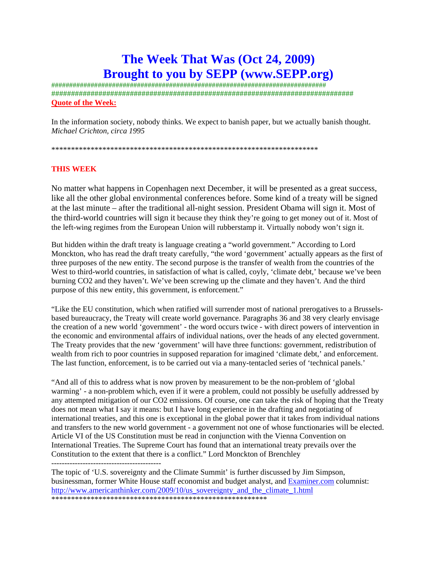# **The Week That Was (Oct 24, 2009) Brought to you by SEPP (www.SEPP.org)**

############################################################################# ############################################################################# **Quote of the Week:**

In the information society, nobody thinks. We expect to banish paper, but we actually banish thought. *Michael Crichton, circa 1995*

\*\*\*\*\*\*\*\*\*\*\*\*\*\*\*\*\*\*\*\*\*\*\*\*\*\*\*\*\*\*\*\*\*\*\*\*\*\*\*\*\*\*\*\*\*\*\*\*\*\*\*\*\*\*\*\*\*\*\*\*\*\*\*\*\*\*\*\*

### **THIS WEEK**

No matter what happens in Copenhagen next December, it will be presented as a great success, like all the other global environmental conferences before. Some kind of a treaty will be signed at the last minute – after the traditional all-night session. President Obama will sign it. Most of the third-world countries will sign it because they think they're going to get money out of it. Most of the left-wing regimes from the European Union will rubberstamp it. Virtually nobody won't sign it.

But hidden within the draft treaty is language creating a "world government." According to Lord Monckton, who has read the draft treaty carefully, "the word 'government' actually appears as the first of three purposes of the new entity. The second purpose is the transfer of wealth from the countries of the West to third-world countries, in satisfaction of what is called, coyly, 'climate debt,' because we've been burning CO2 and they haven't. We've been screwing up the climate and they haven't. And the third purpose of this new entity, this government, is enforcement."

"Like the EU constitution, which when ratified will surrender most of national prerogatives to a Brusselsbased bureaucracy, the Treaty will create world governance. Paragraphs 36 and 38 very clearly envisage the creation of a new world 'government' - the word occurs twice - with direct powers of intervention in the economic and environmental affairs of individual nations, over the heads of any elected government. The Treaty provides that the new 'government' will have three functions: government, redistribution of wealth from rich to poor countries in supposed reparation for imagined 'climate debt,' and enforcement. The last function, enforcement, is to be carried out via a many-tentacled series of 'technical panels.'

"And all of this to address what is now proven by measurement to be the non-problem of 'global warming' - a non-problem which, even if it were a problem, could not possibly be usefully addressed by any attempted mitigation of our CO2 emissions. Of course, one can take the risk of hoping that the Treaty does not mean what I say it means: but I have long experience in the drafting and negotiating of international treaties, and this one is exceptional in the global power that it takes from individual nations and transfers to the new world government - a government not one of whose functionaries will be elected. Article VI of the US Constitution must be read in conjunction with the Vienna Convention on International Treaties. The Supreme Court has found that an international treaty prevails over the Constitution to the extent that there is a conflict." Lord Monckton of Brenchley

------------------------------------------

The topic of 'U.S. sovereignty and the Climate Summit' is further discussed by Jim Simpson, businessman, former White House staff economist and budget analyst, and Examiner.com columnist: http://www.americanthinker.com/2009/10/us\_sovereignty\_and\_the\_climate\_1.html \*\*\*\*\*\*\*\*\*\*\*\*\*\*\*\*\*\*\*\*\*\*\*\*\*\*\*\*\*\*\*\*\*\*\*\*\*\*\*\*\*\*\*\*\*\*\*\*\*\*\*\*\*\*\*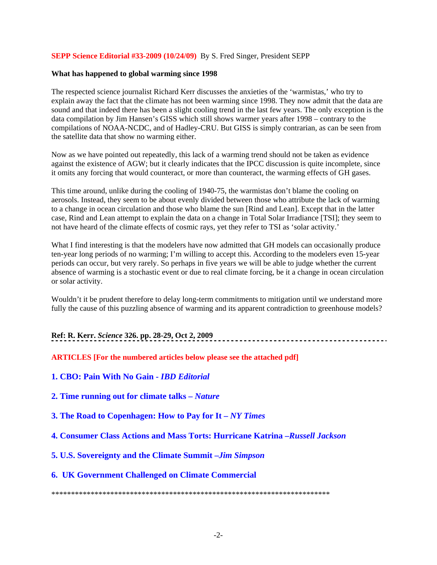### **SEPP Science Editorial #33-2009 (10/24/09)** By S. Fred Singer, President SEPP

#### **What has happened to global warming since 1998**

The respected science journalist Richard Kerr discusses the anxieties of the 'warmistas,' who try to explain away the fact that the climate has not been warming since 1998. They now admit that the data are sound and that indeed there has been a slight cooling trend in the last few years. The only exception is the data compilation by Jim Hansen's GISS which still shows warmer years after 1998 – contrary to the compilations of NOAA-NCDC, and of Hadley-CRU. But GISS is simply contrarian, as can be seen from the satellite data that show no warming either.

Now as we have pointed out repeatedly, this lack of a warming trend should not be taken as evidence against the existence of AGW; but it clearly indicates that the IPCC discussion is quite incomplete, since it omits any forcing that would counteract, or more than counteract, the warming effects of GH gases.

This time around, unlike during the cooling of 1940-75, the warmistas don't blame the cooling on aerosols. Instead, they seem to be about evenly divided between those who attribute the lack of warming to a change in ocean circulation and those who blame the sun [Rind and Lean]. Except that in the latter case, Rind and Lean attempt to explain the data on a change in Total Solar Irradiance [TSI]; they seem to not have heard of the climate effects of cosmic rays, yet they refer to TSI as 'solar activity.'

What I find interesting is that the modelers have now admitted that GH models can occasionally produce ten-year long periods of no warming; I'm willing to accept this. According to the modelers even 15-year periods can occur, but very rarely. So perhaps in five years we will be able to judge whether the current absence of warming is a stochastic event or due to real climate forcing, be it a change in ocean circulation or solar activity.

Wouldn't it be prudent therefore to delay long-term commitments to mitigation until we understand more fully the cause of this puzzling absence of warming and its apparent contradiction to greenhouse models?

## **Ref: R. Kerr.** *Science* **326. pp. 28-29, Oct 2, 2009**

**ARTICLES [For the numbered articles below please see the attached pdf]**

**1. CBO: Pain With No Gain -** *IBD Editorial* 

**2. Time running out for climate talks –** *Nature*

**3. The Road to Copenhagen: How to Pay for It –** *NY Times*

**4. Consumer Class Actions and Mass Torts: Hurricane Katrina –***Russell Jackson* 

**5. U.S. Sovereignty and the Climate Summit –***Jim Simpson* 

### **6. UK Government Challenged on Climate Commercial**

\*\*\*\*\*\*\*\*\*\*\*\*\*\*\*\*\*\*\*\*\*\*\*\*\*\*\*\*\*\*\*\*\*\*\*\*\*\*\*\*\*\*\*\*\*\*\*\*\*\*\*\*\*\*\*\*\*\*\*\*\*\*\*\*\*\*\*\*\*\*\*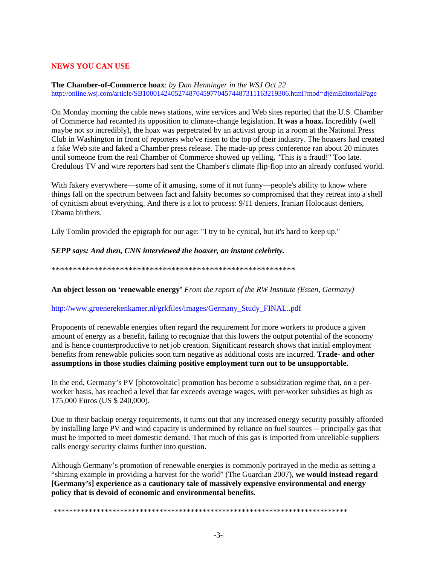### **NEWS YOU CAN USE**

#### **The Chamber-of-Commerce hoax**: *by Dan Henninger in the WSJ Oct 22*  http://online.wsj.com/article/SB10001424052748704597704574487311163219306.html?mod=djemEditorialPage

On Monday morning the cable news stations, wire services and Web sites reported that the U.S. Chamber of Commerce had recanted its opposition to climate-change legislation. **It was a hoax.** Incredibly (well maybe not so incredibly), the hoax was perpetrated by an activist group in a room at the National Press Club in Washington in front of reporters who've risen to the top of their industry. The hoaxers had created a fake Web site and faked a Chamber press release. The made-up press conference ran about 20 minutes until someone from the real Chamber of Commerce showed up yelling, "This is a fraud!" Too late. Credulous TV and wire reporters had sent the Chamber's climate flip-flop into an already confused world.

With fakery everywhere—some of it amusing, some of it not funny—people's ability to know where things fall on the spectrum between fact and falsity becomes so compromised that they retreat into a shell of cynicism about everything. And there is a lot to process: 9/11 deniers, Iranian Holocaust deniers, Obama birthers.

Lily Tomlin provided the epigraph for our age: "I try to be cynical, but it's hard to keep up."

#### *SEPP says: And then, CNN interviewed the hoaxer, an instant celebrity.*

\*\*\*\*\*\*\*\*\*\*\*\*\*\*\*\*\*\*\*\*\*\*\*\*\*\*\*\*\*\*\*\*\*\*\*\*\*\*\*\*\*\*\*\*\*\*\*\*\*\*\*\*\*\*\*\*\*

**An object lesson on 'renewable energy'** *From the report of the RW Institute (Essen, Germany)* 

### http://www.groenerekenkamer.nl/grkfiles/images/Germany\_Study\_FINAL..pdf

Proponents of renewable energies often regard the requirement for more workers to produce a given amount of energy as a benefit, failing to recognize that this lowers the output potential of the economy and is hence counterproductive to net job creation. Significant research shows that initial employment benefits from renewable policies soon turn negative as additional costs are incurred. **Trade- and other assumptions in those studies claiming positive employment turn out to be unsupportable.** 

In the end, Germany's PV [photovoltaic] promotion has become a subsidization regime that, on a perworker basis, has reached a level that far exceeds average wages, with per-worker subsidies as high as 175,000 Euros (US \$ 240,000).

Due to their backup energy requirements, it turns out that any increased energy security possibly afforded by installing large PV and wind capacity is undermined by reliance on fuel sources -- principally gas that must be imported to meet domestic demand. That much of this gas is imported from unreliable suppliers calls energy security claims further into question.

Although Germany's promotion of renewable energies is commonly portrayed in the media as setting a "shining example in providing a harvest for the world" (The Guardian 2007), **we would instead regard [Germany's] experience as a cautionary tale of massively expensive environmental and energy policy that is devoid of economic and environmental benefits***.*

\*\*\*\*\*\*\*\*\*\*\*\*\*\*\*\*\*\*\*\*\*\*\*\*\*\*\*\*\*\*\*\*\*\*\*\*\*\*\*\*\*\*\*\*\*\*\*\*\*\*\*\*\*\*\*\*\*\*\*\*\*\*\*\*\*\*\*\*\*\*\*\*\*\*\*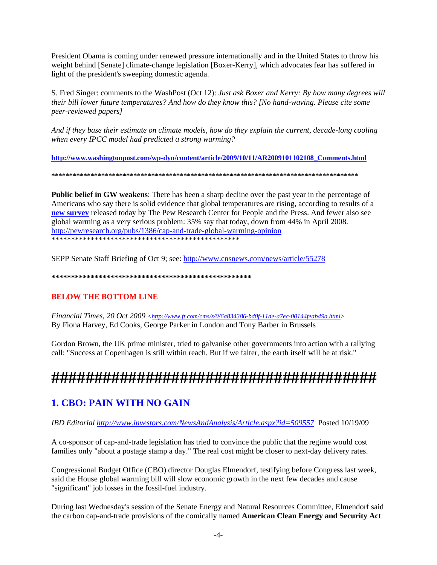President Obama is coming under renewed pressure internationally and in the United States to throw his weight behind [Senate] climate-change legislation [Boxer-Kerry], which advocates fear has suffered in light of the president's sweeping domestic agenda.

S. Fred Singer: comments to the WashPost (Oct 12): *Just ask Boxer and Kerry: By how many degrees will their bill lower future temperatures? And how do they know this? [No hand-waving. Please cite some peer-reviewed papers]* 

*And if they base their estimate on climate models, how do they explain the current, decade-long cooling when every IPCC model had predicted a strong warming?* 

**http://www.washingtonpost.com/wp-dyn/content/article/2009/10/11/AR2009101102108\_Comments.html**

**\*\*\*\*\*\*\*\*\*\*\*\*\*\*\*\*\*\*\*\*\*\*\*\*\*\*\*\*\*\*\*\*\*\*\*\*\*\*\*\*\*\*\*\*\*\*\*\*\*\*\*\*\*\*\*\*\*\*\*\*\*\*\*\*\*\*\*\*\*\*\*\*\*\*\*\*\*\*\*\*\*\*\*\*\*\*** 

**Public belief in GW weakens**: There has been a sharp decline over the past year in the percentage of Americans who say there is solid evidence that global temperatures are rising, according to results of a **new survey** released today by The Pew Research Center for People and the Press. And fewer also see global warming as a very serious problem: 35% say that today, down from 44% in April 2008. http://pewresearch.org/pubs/1386/cap-and-trade-global-warming-opinion \*\*\*\*\*\*\*\*\*\*\*\*\*\*\*\*\*\*\*\*\*\*\*\*\*\*\*\*\*\*\*\*\*\*\*\*\*\*\*\*\*\*\*\*\*\*\*\*

SEPP Senate Staff Briefing of Oct 9; see: http://www.cnsnews.com/news/article/55278

**\*\*\*\*\*\*\*\*\*\*\*\*\*\*\*\*\*\*\*\*\*\*\*\*\*\*\*\*\*\*\*\*\*\*\*\*\*\*\*\*\*\*\*\*\*\*\*\*\*\*\***

## **BELOW THE BOTTOM LINE**

*Financial Times, 20 Oct 2009 <http://www.ft.com/cms/s/0/6a834386-bd0f-11de-a7ec-00144feab49a.html>* By Fiona Harvey, Ed Cooks, George Parker in London and Tony Barber in Brussels

Gordon Brown, the UK prime minister, tried to galvanise other governments into action with a rallying call: "Success at Copenhagen is still within reach. But if we falter, the earth itself will be at risk."

# **######################################**

## **1. CBO: PAIN WITH NO GAIN**

*IBD Editorial http://www.investors.com/NewsAndAnalysis/Article.aspx?id=509557* Posted 10/19/09

A co-sponsor of cap-and-trade legislation has tried to convince the public that the regime would cost families only "about a postage stamp a day." The real cost might be closer to next-day delivery rates.

Congressional Budget Office (CBO) director Douglas Elmendorf, testifying before Congress last week, said the House global warming bill will slow economic growth in the next few decades and cause "significant" job losses in the fossil-fuel industry.

During last Wednesday's session of the Senate Energy and Natural Resources Committee, Elmendorf said the carbon cap-and-trade provisions of the comically named **American Clean Energy and Security Act**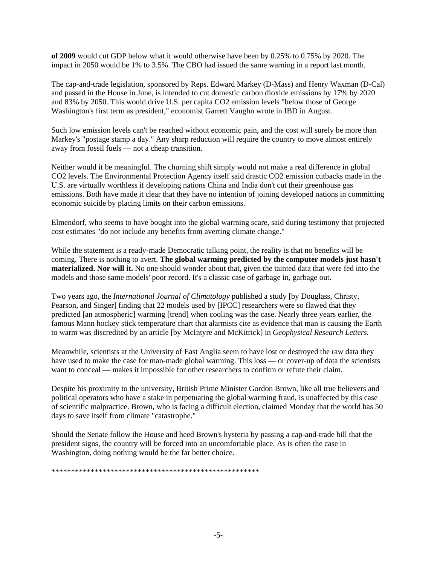**of 2009** would cut GDP below what it would otherwise have been by 0.25% to 0.75% by 2020. The impact in 2050 would be 1% to 3.5%. The CBO had issued the same warning in a report last month.

The cap-and-trade legislation, sponsored by Reps. Edward Markey (D-Mass) and Henry Waxman (D-Cal) and passed in the House in June, is intended to cut domestic carbon dioxide emissions by 17% by 2020 and 83% by 2050. This would drive U.S. per capita CO2 emission levels "below those of George Washington's first term as president," economist Garrett Vaughn wrote in IBD in August.

Such low emission levels can't be reached without economic pain, and the cost will surely be more than Markey's "postage stamp a day." Any sharp reduction will require the country to move almost entirely away from fossil fuels — not a cheap transition.

Neither would it be meaningful. The churning shift simply would not make a real difference in global CO2 levels. The Environmental Protection Agency itself said drastic CO2 emission cutbacks made in the U.S. are virtually worthless if developing nations China and India don't cut their greenhouse gas emissions. Both have made it clear that they have no intention of joining developed nations in committing economic suicide by placing limits on their carbon emissions.

Elmendorf, who seems to have bought into the global warming scare, said during testimony that projected cost estimates "do not include any benefits from averting climate change."

While the statement is a ready-made Democratic talking point, the reality is that no benefits will be coming. There is nothing to avert. **The global warming predicted by the computer models just hasn't materialized. Nor will it.** No one should wonder about that, given the tainted data that were fed into the models and those same models' poor record. It's a classic case of garbage in, garbage out.

Two years ago, the *International Journal of Climatology* published a study [by Douglass, Christy, Pearson, and Singer] finding that 22 models used by [IPCC] researchers were so flawed that they predicted [an atmospheric] warming [trend] when cooling was the case. Nearly three years earlier, the famous Mann hockey stick temperature chart that alarmists cite as evidence that man is causing the Earth to warm was discredited by an article [by McIntyre and McKitrick] in *Geophysical Research Letters.*

Meanwhile, scientists at the University of East Anglia seem to have lost or destroyed the raw data they have used to make the case for man-made global warming. This loss — or cover-up of data the scientists want to conceal — makes it impossible for other researchers to confirm or refute their claim.

Despite his proximity to the university, British Prime Minister Gordon Brown, like all true believers and political operators who have a stake in perpetuating the global warming fraud, is unaffected by this case of scientific malpractice. Brown, who is facing a difficult election, claimed Monday that the world has 50 days to save itself from climate "catastrophe."

Should the Senate follow the House and heed Brown's hysteria by passing a cap-and-trade bill that the president signs, the country will be forced into an uncomfortable place. As is often the case in Washington, doing nothing would be the far better choice.

\*\*\*\*\*\*\*\*\*\*\*\*\*\*\*\*\*\*\*\*\*\*\*\*\*\*\*\*\*\*\*\*\*\*\*\*\*\*\*\*\*\*\*\*\*\*\*\*\*\*\*\*\*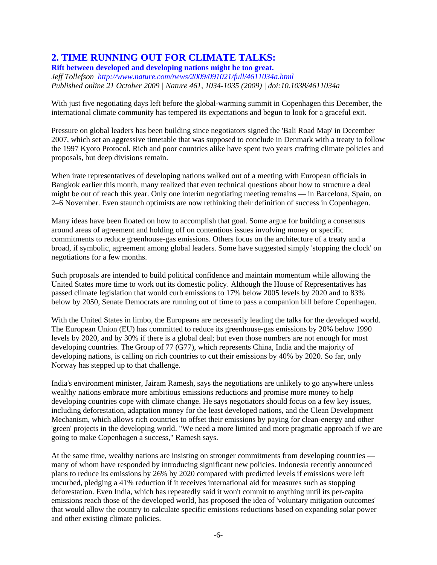## **2. TIME RUNNING OUT FOR CLIMATE TALKS:**

**Rift between developed and developing nations might be too great.**  *Jeff Tollefson http://www.nature.com/news/2009/091021/full/4611034a.html Published online 21 October 2009 | Nature 461, 1034-1035 (2009) | doi:10.1038/4611034a* 

With just five negotiating days left before the global-warming summit in Copenhagen this December, the international climate community has tempered its expectations and begun to look for a graceful exit.

Pressure on global leaders has been building since negotiators signed the 'Bali Road Map' in December 2007, which set an aggressive timetable that was supposed to conclude in Denmark with a treaty to follow the 1997 Kyoto Protocol. Rich and poor countries alike have spent two years crafting climate policies and proposals, but deep divisions remain.

When irate representatives of developing nations walked out of a meeting with European officials in Bangkok earlier this month, many realized that even technical questions about how to structure a deal might be out of reach this year. Only one interim negotiating meeting remains — in Barcelona, Spain, on 2–6 November. Even staunch optimists are now rethinking their definition of success in Copenhagen.

Many ideas have been floated on how to accomplish that goal. Some argue for building a consensus around areas of agreement and holding off on contentious issues involving money or specific commitments to reduce greenhouse-gas emissions. Others focus on the architecture of a treaty and a broad, if symbolic, agreement among global leaders. Some have suggested simply 'stopping the clock' on negotiations for a few months.

Such proposals are intended to build political confidence and maintain momentum while allowing the United States more time to work out its domestic policy. Although the House of Representatives has passed climate legislation that would curb emissions to 17% below 2005 levels by 2020 and to 83% below by 2050, Senate Democrats are running out of time to pass a companion bill before Copenhagen.

With the United States in limbo, the Europeans are necessarily leading the talks for the developed world. The European Union (EU) has committed to reduce its greenhouse-gas emissions by 20% below 1990 levels by 2020, and by 30% if there is a global deal; but even those numbers are not enough for most developing countries. The Group of 77 (G77), which represents China, India and the majority of developing nations, is calling on rich countries to cut their emissions by 40% by 2020. So far, only Norway has stepped up to that challenge.

India's environment minister, Jairam Ramesh, says the negotiations are unlikely to go anywhere unless wealthy nations embrace more ambitious emissions reductions and promise more money to help developing countries cope with climate change. He says negotiators should focus on a few key issues, including deforestation, adaptation money for the least developed nations, and the Clean Development Mechanism, which allows rich countries to offset their emissions by paying for clean-energy and other 'green' projects in the developing world. "We need a more limited and more pragmatic approach if we are going to make Copenhagen a success," Ramesh says.

At the same time, wealthy nations are insisting on stronger commitments from developing countries many of whom have responded by introducing significant new policies. Indonesia recently announced plans to reduce its emissions by 26% by 2020 compared with predicted levels if emissions were left uncurbed, pledging a 41% reduction if it receives international aid for measures such as stopping deforestation. Even India, which has repeatedly said it won't commit to anything until its per-capita emissions reach those of the developed world, has proposed the idea of 'voluntary mitigation outcomes' that would allow the country to calculate specific emissions reductions based on expanding solar power and other existing climate policies.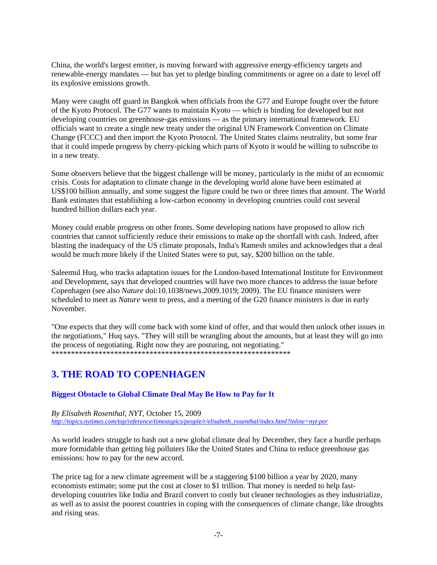China, the world's largest emitter, is moving forward with aggressive energy-efficiency targets and renewable-energy mandates — but has yet to pledge binding commitments or agree on a date to level off its explosive emissions growth.

Many were caught off guard in Bangkok when officials from the G77 and Europe fought over the future of the Kyoto Protocol. The G77 wants to maintain Kyoto — which is binding for developed but not developing countries on greenhouse-gas emissions — as the primary international framework. EU officials want to create a single new treaty under the original UN Framework Convention on Climate Change (FCCC) and then import the Kyoto Protocol. The United States claims neutrality, but some fear that it could impede progress by cherry-picking which parts of Kyoto it would be willing to subscribe to in a new treaty.

Some observers believe that the biggest challenge will be money, particularly in the midst of an economic crisis. Costs for adaptation to climate change in the developing world alone have been estimated at US\$100 billion annually, and some suggest the figure could be two or three times that amount. The World Bank estimates that establishing a low-carbon economy in developing countries could cost several hundred billion dollars each year.

Money could enable progress on other fronts. Some developing nations have proposed to allow rich countries that cannot sufficiently reduce their emissions to make up the shortfall with cash. Indeed, after blasting the inadequacy of the US climate proposals, India's Ramesh smiles and acknowledges that a deal would be much more likely if the United States were to put, say, \$200 billion on the table.

Saleemul Huq, who tracks adaptation issues for the London-based International Institute for Environment and Development, says that developed countries will have two more chances to address the issue before Copenhagen (see also *Nature* doi:10.1038/news.2009.1019; 2009). The EU finance ministers were scheduled to meet as *Nature* went to press, and a meeting of the G20 finance ministers is due in early November.

"One expects that they will come back with some kind of offer, and that would then unlock other issues in the negotiations," Huq says. "They will still be wrangling about the amounts, but at least they will go into the process of negotiating. Right now they are posturing, not negotiating." \*\*\*\*\*\*\*\*\*\*\*\*\*\*\*\*\*\*\*\*\*\*\*\*\*\*\*\*\*\*\*\*\*\*\*\*\*\*\*\*\*\*\*\*\*\*\*\*\*\*\*\*\*\*\*\*\*\*\*\*\*

## **3. THE ROAD TO COPENHAGEN**

## **Biggest Obstacle to Global Climate Deal May Be How to Pay for It**

*By Elisabeth Rosenthal, NYT,* October 15, 2009 *http://topics.nytimes.com/top/reference/timestopics/people/r/elisabeth\_rosenthal/index.html?inline=nyt-per*

As world leaders struggle to hash out a new global climate deal by December, they face a hurdle perhaps more formidable than getting big polluters like the United States and China to reduce greenhouse gas emissions: how to pay for the new accord.

The price tag for a new climate agreement will be a staggering \$100 billion a year by 2020, many economists estimate; some put the cost at closer to \$1 trillion. That money is needed to help fastdeveloping countries like India and Brazil convert to costly but cleaner technologies as they industrialize, as well as to assist the poorest countries in coping with the consequences of climate change, like droughts and rising seas.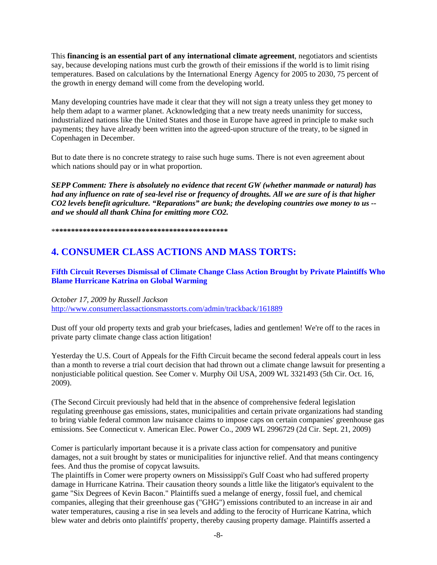This **financing is an essential part of any international climate agreement**, negotiators and scientists say, because developing nations must curb the growth of their emissions if the world is to limit rising temperatures. Based on calculations by the International Energy Agency for 2005 to 2030, 75 percent of the growth in energy demand will come from the developing world.

Many developing countries have made it clear that they will not sign a treaty unless they get money to help them adapt to a warmer planet. Acknowledging that a new treaty needs unanimity for success, industrialized nations like the United States and those in Europe have agreed in principle to make such payments; they have already been written into the agreed-upon structure of the treaty, to be signed in Copenhagen in December.

But to date there is no concrete strategy to raise such huge sums. There is not even agreement about which nations should pay or in what proportion.

*SEPP Comment: There is absolutely no evidence that recent GW (whether manmade or natural) has had any influence on rate of sea-level rise or frequency of droughts. All we are sure of is that higher CO2 levels benefit agriculture. "Reparations" are bunk; the developing countries owe money to us - and we should all thank China for emitting more CO2.* 

\***\*\*\*\*\*\*\*\*\*\*\*\*\*\*\*\*\*\*\*\*\*\*\*\*\*\*\*\*\*\*\*\*\*\*\*\*\*\*\*\*\*\*\*\*** 

## **4. CONSUMER CLASS ACTIONS AND MASS TORTS:**

**Fifth Circuit Reverses Dismissal of Climate Change Class Action Brought by Private Plaintiffs Who Blame Hurricane Katrina on Global Warming** 

*October 17, 2009 by Russell Jackson*

http://www.consumerclassactionsmasstorts.com/admin/trackback/161889

Dust off your old property texts and grab your briefcases, ladies and gentlemen! We're off to the races in private party climate change class action litigation!

Yesterday the U.S. Court of Appeals for the Fifth Circuit became the second federal appeals court in less than a month to reverse a trial court decision that had thrown out a climate change lawsuit for presenting a nonjusticiable political question. See Comer v. Murphy Oil USA, 2009 WL 3321493 (5th Cir. Oct. 16, 2009).

(The Second Circuit previously had held that in the absence of comprehensive federal legislation regulating greenhouse gas emissions, states, municipalities and certain private organizations had standing to bring viable federal common law nuisance claims to impose caps on certain companies' greenhouse gas emissions. See Connecticut v. American Elec. Power Co., 2009 WL 2996729 (2d Cir. Sept. 21, 2009)

Comer is particularly important because it is a private class action for compensatory and punitive damages, not a suit brought by states or municipalities for injunctive relief. And that means contingency fees. And thus the promise of copycat lawsuits.

The plaintiffs in Comer were property owners on Mississippi's Gulf Coast who had suffered property damage in Hurricane Katrina. Their causation theory sounds a little like the litigator's equivalent to the game "Six Degrees of Kevin Bacon." Plaintiffs sued a melange of energy, fossil fuel, and chemical companies, alleging that their greenhouse gas ("GHG") emissions contributed to an increase in air and water temperatures, causing a rise in sea levels and adding to the ferocity of Hurricane Katrina, which blew water and debris onto plaintiffs' property, thereby causing property damage. Plaintiffs asserted a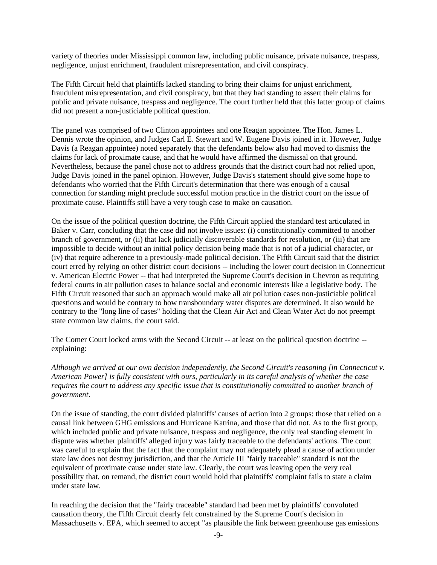variety of theories under Mississippi common law, including public nuisance, private nuisance, trespass, negligence, unjust enrichment, fraudulent misrepresentation, and civil conspiracy.

The Fifth Circuit held that plaintiffs lacked standing to bring their claims for unjust enrichment, fraudulent misrepresentation, and civil conspiracy, but that they had standing to assert their claims for public and private nuisance, trespass and negligence. The court further held that this latter group of claims did not present a non-justiciable political question.

The panel was comprised of two Clinton appointees and one Reagan appointee. The Hon. James L. Dennis wrote the opinion, and Judges Carl E. Stewart and W. Eugene Davis joined in it. However, Judge Davis (a Reagan appointee) noted separately that the defendants below also had moved to dismiss the claims for lack of proximate cause, and that he would have affirmed the dismissal on that ground. Nevertheless, because the panel chose not to address grounds that the district court had not relied upon, Judge Davis joined in the panel opinion. However, Judge Davis's statement should give some hope to defendants who worried that the Fifth Circuit's determination that there was enough of a causal connection for standing might preclude successful motion practice in the district court on the issue of proximate cause. Plaintiffs still have a very tough case to make on causation.

On the issue of the political question doctrine, the Fifth Circuit applied the standard test articulated in Baker v. Carr, concluding that the case did not involve issues: (i) constitutionally committed to another branch of government, or (ii) that lack judicially discoverable standards for resolution, or (iii) that are impossible to decide without an initial policy decision being made that is not of a judicial character, or (iv) that require adherence to a previously-made political decision. The Fifth Circuit said that the district court erred by relying on other district court decisions -- including the lower court decision in Connecticut v. American Electric Power -- that had interpreted the Supreme Court's decision in Chevron as requiring federal courts in air pollution cases to balance social and economic interests like a legislative body. The Fifth Circuit reasoned that such an approach would make all air pollution cases non-justiciable political questions and would be contrary to how transboundary water disputes are determined. It also would be contrary to the "long line of cases" holding that the Clean Air Act and Clean Water Act do not preempt state common law claims, the court said.

The Comer Court locked arms with the Second Circuit -- at least on the political question doctrine - explaining:

*Although we arrived at our own decision independently, the Second Circuit's reasoning [in Connecticut v. American Power] is fully consistent with ours, particularly in its careful analysis of whether the case requires the court to address any specific issue that is constitutionally committed to another branch of government*.

On the issue of standing, the court divided plaintiffs' causes of action into 2 groups: those that relied on a causal link between GHG emissions and Hurricane Katrina, and those that did not. As to the first group, which included public and private nuisance, trespass and negligence, the only real standing element in dispute was whether plaintiffs' alleged injury was fairly traceable to the defendants' actions. The court was careful to explain that the fact that the complaint may not adequately plead a cause of action under state law does not destroy jurisdiction, and that the Article III "fairly traceable" standard is not the equivalent of proximate cause under state law. Clearly, the court was leaving open the very real possibility that, on remand, the district court would hold that plaintiffs' complaint fails to state a claim under state law.

In reaching the decision that the "fairly traceable" standard had been met by plaintiffs' convoluted causation theory, the Fifth Circuit clearly felt constrained by the Supreme Court's decision in Massachusetts v. EPA, which seemed to accept "as plausible the link between greenhouse gas emissions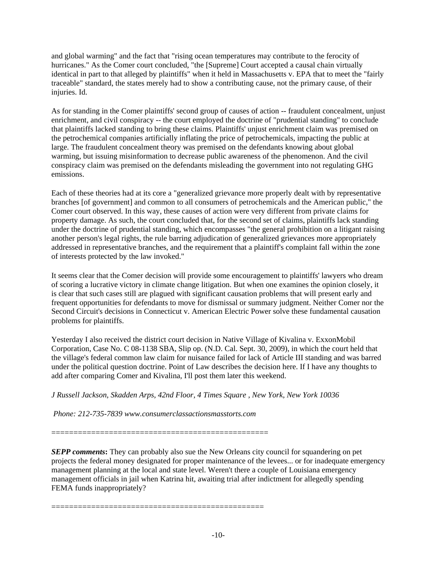and global warming" and the fact that "rising ocean temperatures may contribute to the ferocity of hurricanes." As the Comer court concluded, "the [Supreme] Court accepted a causal chain virtually identical in part to that alleged by plaintiffs" when it held in Massachusetts v. EPA that to meet the "fairly traceable" standard, the states merely had to show a contributing cause, not the primary cause, of their injuries. Id.

As for standing in the Comer plaintiffs' second group of causes of action -- fraudulent concealment, unjust enrichment, and civil conspiracy -- the court employed the doctrine of "prudential standing" to conclude that plaintiffs lacked standing to bring these claims. Plaintiffs' unjust enrichment claim was premised on the petrochemical companies artificially inflating the price of petrochemicals, impacting the public at large. The fraudulent concealment theory was premised on the defendants knowing about global warming, but issuing misinformation to decrease public awareness of the phenomenon. And the civil conspiracy claim was premised on the defendants misleading the government into not regulating GHG emissions.

Each of these theories had at its core a "generalized grievance more properly dealt with by representative branches [of government] and common to all consumers of petrochemicals and the American public," the Comer court observed. In this way, these causes of action were very different from private claims for property damage. As such, the court concluded that, for the second set of claims, plaintiffs lack standing under the doctrine of prudential standing, which encompasses "the general prohibition on a litigant raising another person's legal rights, the rule barring adjudication of generalized grievances more appropriately addressed in representative branches, and the requirement that a plaintiff's complaint fall within the zone of interests protected by the law invoked."

It seems clear that the Comer decision will provide some encouragement to plaintiffs' lawyers who dream of scoring a lucrative victory in climate change litigation. But when one examines the opinion closely, it is clear that such cases still are plagued with significant causation problems that will present early and frequent opportunities for defendants to move for dismissal or summary judgment. Neither Comer nor the Second Circuit's decisions in Connecticut v. American Electric Power solve these fundamental causation problems for plaintiffs.

Yesterday I also received the district court decision in Native Village of Kivalina v. ExxonMobil Corporation, Case No. C 08-1138 SBA, Slip op. (N.D. Cal. Sept. 30, 2009), in which the court held that the village's federal common law claim for nuisance failed for lack of Article III standing and was barred under the political question doctrine. Point of Law describes the decision here. If I have any thoughts to add after comparing Comer and Kivalina, I'll post them later this weekend.

*J Russell Jackson, Skadden Arps, 42nd Floor, 4 Times Square , New York, New York 10036* 

 *Phone: 212-735-7839 www.consumerclassactionsmasstorts.com* 

=================================================

================================================

*SEPP comments***:** They can probably also sue the New Orleans city council for squandering on pet projects the federal money designated for proper maintenance of the levees... or for inadequate emergency management planning at the local and state level. Weren't there a couple of Louisiana emergency management officials in jail when Katrina hit, awaiting trial after indictment for allegedly spending FEMA funds inappropriately?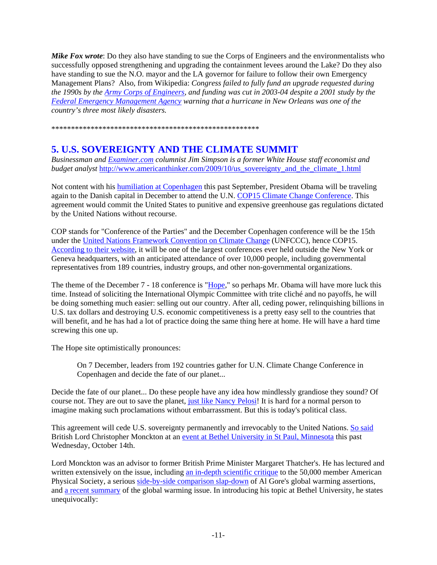*Mike Fox wrote*: Do they also have standing to sue the Corps of Engineers and the environmentalists who successfully opposed strengthening and upgrading the containment levees around the Lake? Do they also have standing to sue the N.O. mayor and the LA governor for failure to follow their own Emergency Management Plans? Also, from Wikipedia: *Congress failed to fully fund an upgrade requested during the 1990s by the Army Corps of Engineers, and funding was cut in 2003-04 despite a 2001 study by the Federal Emergency Management Agency warning that a hurricane in New Orleans was one of the country's three most likely disasters.* 

\*\*\*\*\*\*\*\*\*\*\*\*\*\*\*\*\*\*\*\*\*\*\*\*\*\*\*\*\*\*\*\*\*\*\*\*\*\*\*\*\*\*\*\*\*\*\*\*\*\*\*\*\*

## **5. U.S. SOVEREIGNTY AND THE CLIMATE SUMMIT**

*Businessman and Examiner.com columnist Jim Simpson is a former White House staff economist and budget analyst* http://www.americanthinker.com/2009/10/us\_sovereignty\_and\_the\_climate\_1.html

Not content with his humiliation at Copenhagen this past September, President Obama will be traveling again to the Danish capital in December to attend the U.N. COP15 Climate Change Conference. This agreement would commit the United States to punitive and expensive greenhouse gas regulations dictated by the United Nations without recourse.

COP stands for "Conference of the Parties" and the December Copenhagen conference will be the 15th under the United Nations Framework Convention on Climate Change (UNFCCC), hence COP15. According to their website, it will be one of the largest conferences ever held outside the New York or Geneva headquarters, with an anticipated attendance of over 10,000 people, including governmental representatives from 189 countries, industry groups, and other non-governmental organizations.

The theme of the December 7 - 18 conference is "Hope," so perhaps Mr. Obama will have more luck this time. Instead of soliciting the International Olympic Committee with trite cliché and no payoffs, he will be doing something much easier: selling out our country. After all, ceding power, relinquishing billions in U.S. tax dollars and destroying U.S. economic competitiveness is a pretty easy sell to the countries that will benefit, and he has had a lot of practice doing the same thing here at home. He will have a hard time screwing this one up.

The Hope site optimistically pronounces:

On 7 December, leaders from 192 countries gather for U.N. Climate Change Conference in Copenhagen and decide the fate of our planet...

Decide the fate of our planet... Do these people have any idea how mindlessly grandiose they sound? Of course not. They are out to save the planet, just like Nancy Pelosi! It is hard for a normal person to imagine making such proclamations without embarrassment. But this is today's political class.

This agreement will cede U.S. sovereignty permanently and irrevocably to the United Nations. So said British Lord Christopher Monckton at an event at Bethel University in St Paul, Minnesota this past Wednesday, October 14th.

Lord Monckton was an advisor to former British Prime Minister Margaret Thatcher's. He has lectured and written extensively on the issue, including an in-depth scientific critique to the 50,000 member American Physical Society, a serious side-by-side comparison slap-down of Al Gore's global warming assertions, and a recent summary of the global warming issue. In introducing his topic at Bethel University, he states unequivocally: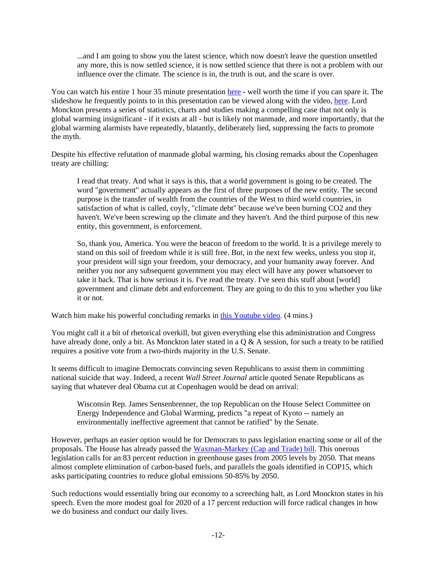...and I am going to show you the latest science, which now doesn't leave the question unsettled any more, this is now settled science, it is now settled science that there is not a problem with our influence over the climate. The science is in, the truth is out, and the scare is over.

You can watch his entire 1 hour 35 minute presentation here - well worth the time if you can spare it. The slideshow he frequently points to in this presentation can be viewed along with the video, here. Lord Monckton presents a series of statistics, charts and studies making a compelling case that not only is global warming insignificant - if it exists at all - but is likely not manmade, and more importantly, that the global warming alarmists have repeatedly, blatantly, deliberately lied, suppressing the facts to promote the myth.

Despite his effective refutation of manmade global warming, his closing remarks about the Copenhagen treaty are chilling:

I read that treaty. And what it says is this, that a world government is going to be created. The word "government" actually appears as the first of three purposes of the new entity. The second purpose is the transfer of wealth from the countries of the West to third world countries, in satisfaction of what is called, coyly, "climate debt" because we've been burning CO2 and they haven't. We've been screwing up the climate and they haven't. And the third purpose of this new entity, this government, is enforcement.

So, thank you, America. You were the beacon of freedom to the world. It is a privilege merely to stand on this soil of freedom while it is still free. But, in the next few weeks, unless you stop it, your president will sign your freedom, your democracy, and your humanity away forever. And neither you nor any subsequent government you may elect will have any power whatsoever to take it back. That is how serious it is. I've read the treaty. I've seen this stuff about [world] government and climate debt and enforcement. They are going to do this to you whether you like it or not.

Watch him make his powerful concluding remarks in this Youtube video. (4 mins.)

You might call it a bit of rhetorical overkill, but given everything else this administration and Congress have already done, only a bit. As Monckton later stated in a  $\overline{O} \& A$  session, for such a treaty to be ratified requires a positive vote from a two-thirds majority in the U.S. Senate.

It seems difficult to imagine Democrats convincing seven Republicans to assist them in committing national suicide that way. Indeed, a recent *Wall Street Journal* article quoted Senate Republicans as saying that whatever deal Obama cut at Copenhagen would be dead on arrival:

Wisconsin Rep. James Sensenbrenner, the top Republican on the House Select Committee on Energy Independence and Global Warming, predicts "a repeat of Kyoto -- namely an environmentally ineffective agreement that cannot be ratified" by the Senate.

However, perhaps an easier option would be for Democrats to pass legislation enacting some or all of the proposals. The House has already passed the Waxman-Markey (Cap and Trade) bill. This onerous legislation calls for an 83 percent reduction in greenhouse gases from 2005 levels by 2050. That means almost complete elimination of carbon-based fuels, and parallels the goals identified in COP15, which asks participating countries to reduce global emissions 50-85% by 2050.

Such reductions would essentially bring our economy to a screeching halt, as Lord Monckton states in his speech. Even the more modest goal for 2020 of a 17 percent reduction will force radical changes in how we do business and conduct our daily lives.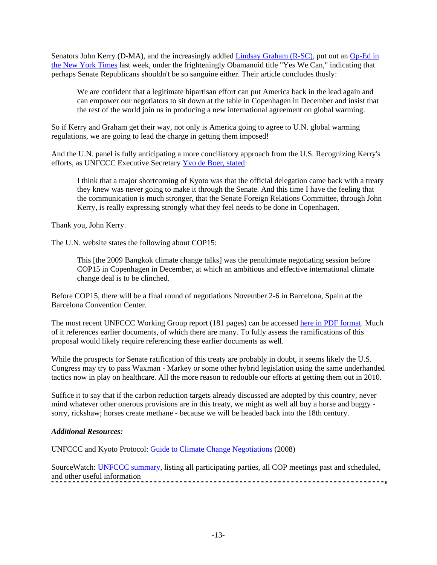Senators John Kerry (D-MA), and the increasingly addled Lindsay Graham (R-SC), put out an Op-Ed in the New York Times last week, under the frighteningly Obamanoid title "Yes We Can," indicating that perhaps Senate Republicans shouldn't be so sanguine either. Their article concludes thusly:

We are confident that a legitimate bipartisan effort can put America back in the lead again and can empower our negotiators to sit down at the table in Copenhagen in December and insist that the rest of the world join us in producing a new international agreement on global warming.

So if Kerry and Graham get their way, not only is America going to agree to U.N. global warming regulations, we are going to lead the charge in getting them imposed!

And the U.N. panel is fully anticipating a more conciliatory approach from the U.S. Recognizing Kerry's efforts, as UNFCCC Executive Secretary Yvo de Boer, stated:

I think that a major shortcoming of Kyoto was that the official delegation came back with a treaty they knew was never going to make it through the Senate. And this time I have the feeling that the communication is much stronger, that the Senate Foreign Relations Committee, through John Kerry, is really expressing strongly what they feel needs to be done in Copenhagen.

Thank you, John Kerry.

The U.N. website states the following about COP15:

This [the 2009 Bangkok climate change talks] was the penultimate negotiating session before COP15 in Copenhagen in December, at which an ambitious and effective international climate change deal is to be clinched.

Before COP15, there will be a final round of negotiations November 2-6 in Barcelona, Spain at the Barcelona Convention Center.

The most recent UNFCCC Working Group report (181 pages) can be accessed here in PDF format. Much of it references earlier documents, of which there are many. To fully assess the ramifications of this proposal would likely require referencing these earlier documents as well.

While the prospects for Senate ratification of this treaty are probably in doubt, it seems likely the U.S. Congress may try to pass Waxman - Markey or some other hybrid legislation using the same underhanded tactics now in play on healthcare. All the more reason to redouble our efforts at getting them out in 2010.

Suffice it to say that if the carbon reduction targets already discussed are adopted by this country, never mind whatever other onerous provisions are in this treaty, we might as well all buy a horse and buggy sorry, rickshaw; horses create methane - because we will be headed back into the 18th century.

### *Additional Resources:*

UNFCCC and Kyoto Protocol: Guide to Climate Change Negotiations (2008)

SourceWatch: UNFCCC summary, listing all participating parties, all COP meetings past and scheduled, and other useful information